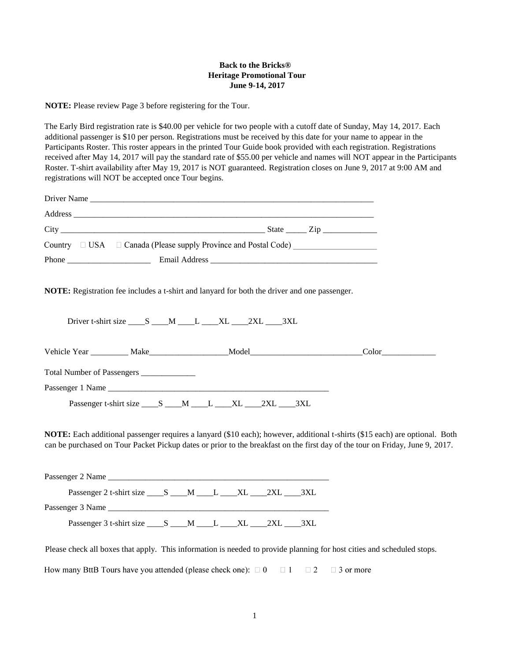## **Back to the Bricks® Heritage Promotional Tour June 9-14, 2017**

**NOTE:** Please review Page 3 before registering for the Tour.

The Early Bird registration rate is \$40.00 per vehicle for two people with a cutoff date of Sunday, May 14, 2017. Each additional passenger is \$10 per person. Registrations must be received by this date for your name to appear in the Participants Roster. This roster appears in the printed Tour Guide book provided with each registration. Registrations received after May 14, 2017 will pay the standard rate of \$55.00 per vehicle and names will NOT appear in the Participants Roster. T-shirt availability after May 19, 2017 is NOT guaranteed. Registration closes on June 9, 2017 at 9:00 AM and registrations will NOT be accepted once Tour begins.

|                                            | Driver Name                                                                                                            |                                                                                                                                                                                                                                                             |
|--------------------------------------------|------------------------------------------------------------------------------------------------------------------------|-------------------------------------------------------------------------------------------------------------------------------------------------------------------------------------------------------------------------------------------------------------|
|                                            |                                                                                                                        |                                                                                                                                                                                                                                                             |
|                                            |                                                                                                                        |                                                                                                                                                                                                                                                             |
|                                            | Country □ USA □ Canada (Please supply Province and Postal Code) ________________                                       |                                                                                                                                                                                                                                                             |
|                                            |                                                                                                                        |                                                                                                                                                                                                                                                             |
|                                            | <b>NOTE:</b> Registration fee includes a t-shirt and lanyard for both the driver and one passenger.                    |                                                                                                                                                                                                                                                             |
|                                            | Driver t-shirt size _____ S _____ M _____ L _____ XL _____2XL _____3XL                                                 |                                                                                                                                                                                                                                                             |
|                                            | Vehicle Year __________ Make____________________Model___________________________                                       | Color                                                                                                                                                                                                                                                       |
| Total Number of Passengers _______________ |                                                                                                                        |                                                                                                                                                                                                                                                             |
|                                            |                                                                                                                        |                                                                                                                                                                                                                                                             |
|                                            | Passenger t-shirt size _____ S _____M _____L _____XL _____2XL _____3XL                                                 |                                                                                                                                                                                                                                                             |
|                                            |                                                                                                                        | NOTE: Each additional passenger requires a lanyard (\$10 each); however, additional t-shirts (\$15 each) are optional. Both<br>can be purchased on Tour Packet Pickup dates or prior to the breakfast on the first day of the tour on Friday, June 9, 2017. |
|                                            |                                                                                                                        |                                                                                                                                                                                                                                                             |
|                                            | Passenger 2 t-shirt size ______ S ______M ______L ______XL ______2XL ______3XL                                         |                                                                                                                                                                                                                                                             |
|                                            | Passenger 3 Name                                                                                                       |                                                                                                                                                                                                                                                             |
|                                            | Passenger 3 t-shirt size ______ S ______M ______L ______XL ______2XL ______3XL                                         |                                                                                                                                                                                                                                                             |
|                                            | Please check all boxes that apply. This information is needed to provide planning for host cities and scheduled stops. |                                                                                                                                                                                                                                                             |

How many BttB Tours have you attended (please check one):  $\Box$  0  $\Box$  1  $\Box$  2  $\Box$  3 or more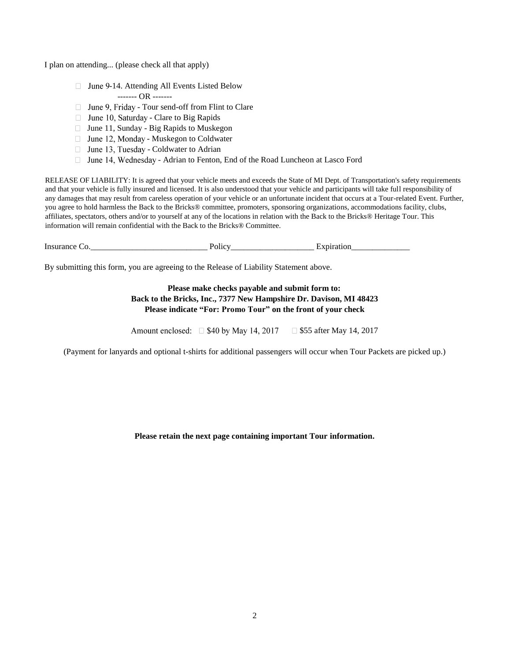I plan on attending... (please check all that apply)

- $\Box$  June 9-14. Attending All Events Listed Below ------- OR -------
- $\Box$  June 9, Friday Tour send-off from Flint to Clare
- $\Box$  June 10, Saturday Clare to Big Rapids
- $\Box$  June 11, Sunday Big Rapids to Muskegon
- $\Box$  June 12, Monday Muskegon to Coldwater
- $\Box$  June 13, Tuesday Coldwater to Adrian
- □ June 14, Wednesday Adrian to Fenton, End of the Road Luncheon at Lasco Ford

RELEASE OF LIABILITY: It is agreed that your vehicle meets and exceeds the State of MI Dept. of Transportation's safety requirements and that your vehicle is fully insured and licensed. It is also understood that your vehicle and participants will take full responsibility of any damages that may result from careless operation of your vehicle or an unfortunate incident that occurs at a Tour-related Event. Further, you agree to hold harmless the Back to the Bricks® committee, promoters, sponsoring organizations, accommodations facility, clubs, affiliates, spectators, others and/or to yourself at any of the locations in relation with the Back to the Bricks® Heritage Tour. This information will remain confidential with the Back to the Bricks® Committee.

| $\sim$<br>Insu<br>$\mathbf{r}$<br>. . | .<br> | -- |  |
|---------------------------------------|-------|----|--|
|                                       |       |    |  |

By submitting this form, you are agreeing to the Release of Liability Statement above.

# **Please make checks payable and submit form to: Back to the Bricks, Inc., 7377 New Hampshire Dr. Davison, MI 48423 Please indicate "For: Promo Tour" on the front of your check**

Amount enclosed:  $\Box$  \$40 by May 14, 2017  $\Box$  \$55 after May 14, 2017

(Payment for lanyards and optional t-shirts for additional passengers will occur when Tour Packets are picked up.)

#### **Please retain the next page containing important Tour information.**